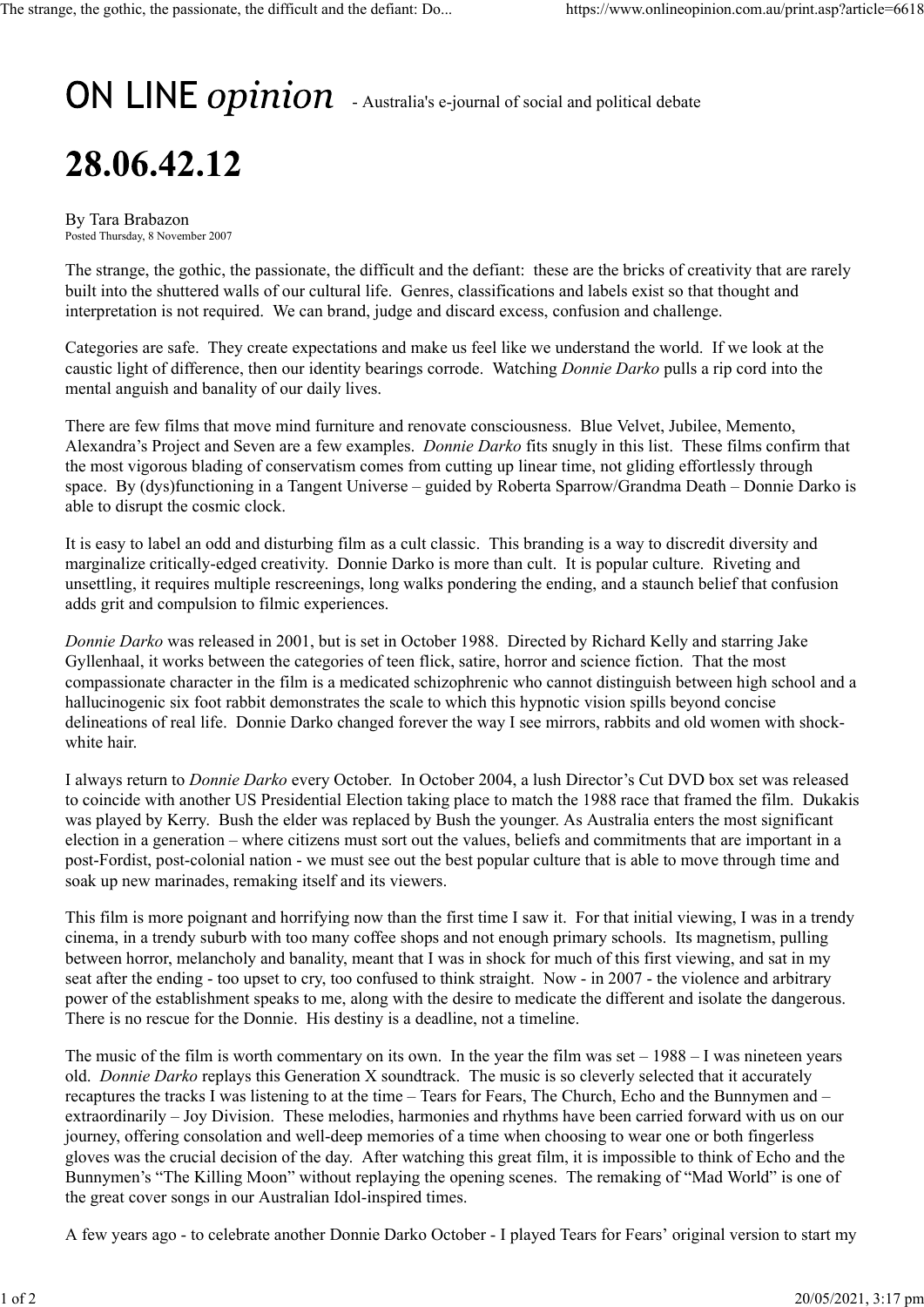## $ON$  LINE  $opinion$  - Australia's e-journal of social and political debate

## 28.06.42.12

By Tara Brabazon Posted Thursday, 8 November 2007

The strange, the gothic, the passionate, the difficult and the defiant: these are the bricks of creativity that are rarely built into the shuttered walls of our cultural life. Genres, classifications and labels exist so that thought and interpretation is not required. We can brand, judge and discard excess, confusion and challenge.

Categories are safe. They create expectations and make us feel like we understand the world. If we look at the caustic light of difference, then our identity bearings corrode. Watching *Donnie Darko* pulls a rip cord into the mental anguish and banality of our daily lives.

There are few films that move mind furniture and renovate consciousness. Blue Velvet, Jubilee, Memento, Alexandra's Project and Seven are a few examples. *Donnie Darko* fits snugly in this list. These films confirm that the most vigorous blading of conservatism comes from cutting up linear time, not gliding effortlessly through space. By (dys)functioning in a Tangent Universe – guided by Roberta Sparrow/Grandma Death – Donnie Darko is able to disrupt the cosmic clock.

It is easy to label an odd and disturbing film as a cult classic. This branding is a way to discredit diversity and marginalize critically-edged creativity. Donnie Darko is more than cult. It is popular culture. Riveting and unsettling, it requires multiple rescreenings, long walks pondering the ending, and a staunch belief that confusion adds grit and compulsion to filmic experiences.

*Donnie Darko* was released in 2001, but is set in October 1988. Directed by Richard Kelly and starring Jake Gyllenhaal, it works between the categories of teen flick, satire, horror and science fiction. That the most compassionate character in the film is a medicated schizophrenic who cannot distinguish between high school and a hallucinogenic six foot rabbit demonstrates the scale to which this hypnotic vision spills beyond concise delineations of real life. Donnie Darko changed forever the way I see mirrors, rabbits and old women with shockwhite hair.

I always return to *Donnie Darko* every October. In October 2004, a lush Director's Cut DVD box set was released to coincide with another US Presidential Election taking place to match the 1988 race that framed the film. Dukakis was played by Kerry. Bush the elder was replaced by Bush the younger. As Australia enters the most significant election in a generation – where citizens must sort out the values, beliefs and commitments that are important in a post-Fordist, post-colonial nation - we must see out the best popular culture that is able to move through time and soak up new marinades, remaking itself and its viewers.

This film is more poignant and horrifying now than the first time I saw it. For that initial viewing, I was in a trendy cinema, in a trendy suburb with too many coffee shops and not enough primary schools. Its magnetism, pulling between horror, melancholy and banality, meant that I was in shock for much of this first viewing, and sat in my seat after the ending - too upset to cry, too confused to think straight. Now - in 2007 - the violence and arbitrary power of the establishment speaks to me, along with the desire to medicate the different and isolate the dangerous. There is no rescue for the Donnie. His destiny is a deadline, not a timeline.

The music of the film is worth commentary on its own. In the year the film was set  $-1988 - I$  was nineteen years old. *Donnie Darko* replays this Generation X soundtrack. The music is so cleverly selected that it accurately recaptures the tracks I was listening to at the time – Tears for Fears, The Church, Echo and the Bunnymen and – extraordinarily – Joy Division. These melodies, harmonies and rhythms have been carried forward with us on our journey, offering consolation and well-deep memories of a time when choosing to wear one or both fingerless gloves was the crucial decision of the day. After watching this great film, it is impossible to think of Echo and the Bunnymen's "The Killing Moon" without replaying the opening scenes. The remaking of "Mad World" is one of the great cover songs in our Australian Idol-inspired times.

A few years ago - to celebrate another Donnie Darko October - I played Tears for Fears' original version to start my